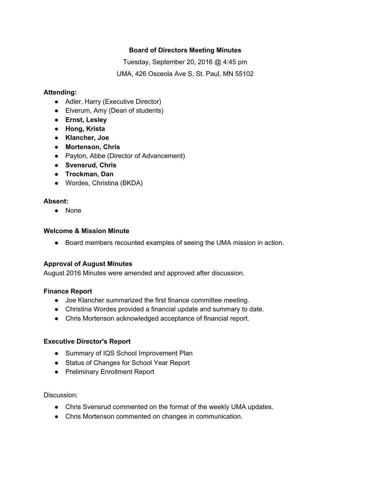## **Board of Directors Meeting Minutes**

Tuesday, September 20, 2016 @ 4:45 pm UMA, 426 Osceola Ave S, St. Paul, MN 55102

### **Attending:**

- Adler, Harry (Executive Director)
- Elverum, Amy (Dean of students)
- **● Ernst, Lesley**
- **● Hong, Krista**
- **● Klancher, Joe**
- **● Mortenson, Chris**
- Payton, Abbe (Director of Advancement)
- **● Svensrud, Chris**
- **● Trockman, Dan**
- Wordes, Christina (BKDA)

### **Absent:**

● None

### **Welcome & Mission Minute**

● Board members recounted examples of seeing the UMA mission in action.

## **Approval of August Minutes**

August 2016 Minutes were amended and approved after discussion.

### **Finance Report**

- Joe Klancher summarized the first finance committee meeting.
- Christina Wordes provided a financial update and summary to date.
- Chris Mortenson acknowledged acceptance of financial report.

## **Executive Director's Report**

- Summary of IQS School Improvement Plan
- Status of Changes for School Year Report
- Preliminary Enrollment Report

Discussion:

- Chris Svensrud commented on the format of the weekly UMA updates.
- Chris Mortenson commented on changes in communication.